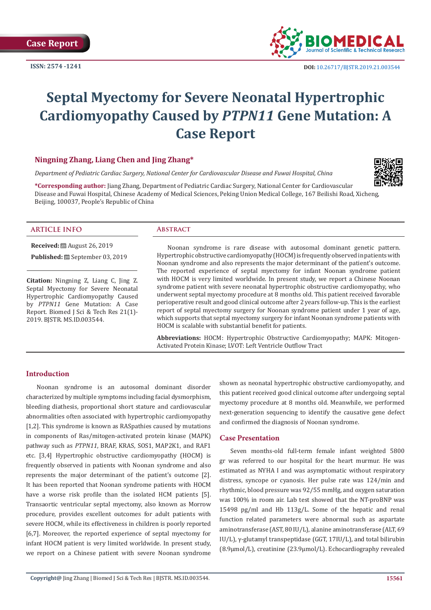**ISSN: 2574 -1241**



# **Septal Myectomy for Severe Neonatal Hypertrophic Cardiomyopathy Caused by** *PTPN11* **Gene Mutation: A Case Report**

## **Ningning Zhang, Liang Chen and Jing Zhang\***

*Department of Pediatric Cardiac Surgery, National Center for Cardiovascular Disease and Fuwai Hospital, China*



**\*Corresponding author:** Jiang Zhang, Department of Pediatric Cardiac Surgery, National Center for Cardiovascular Disease and Fuwai Hospital, Chinese Academy of Medical Sciences, Peking Union Medical College, 167 Beilishi Road, Xicheng, Beijing, 100037, People's Republic of China

#### **ARTICLE INFO Abstract**

**Received:** August 26, 2019

**Published:** ■ September 03, 2019

**Citation:** Ningning Z, Liang C, Jing Z. Septal Myectomy for Severe Neonatal Hypertrophic Cardiomyopathy Caused by *PTPN11* Gene Mutation: A Case Report. Biomed J Sci & Tech Res 21(1)- 2019. BJSTR. MS.ID.003544.

Noonan syndrome is rare disease with autosomal dominant genetic pattern. Hypertrophic obstructive cardiomyopathy (HOCM) is frequently observed in patients with Noonan syndrome and also represents the major determinant of the patient's outcome. The reported experience of septal myectomy for infant Noonan syndrome patient with HOCM is very limited worldwide. In present study, we report a Chinese Noonan syndrome patient with severe neonatal hypertrophic obstructive cardiomyopathy, who underwent septal myectomy procedure at 8 months old. This patient received favorable perioperative result and good clinical outcome after 2 years follow-up. This is the earliest report of septal myectomy surgery for Noonan syndrome patient under 1 year of age, which supports that septal myectomy surgery for infant Noonan syndrome patients with HOCM is scalable with substantial benefit for patients.

**Abbreviations:** HOCM: Hypertrophic Obstructive Cardiomyopathy; MAPK: Mitogen-Activated Protein Kinase; LVOT: Left Ventricle Outflow Tract

#### **Introduction**

Noonan syndrome is an autosomal dominant disorder characterized by multiple symptoms including facial dysmorphism, bleeding diathesis, proportional short stature and cardiovascular abnormalities often associated with hypertrophic cardiomyopathy [1,2]. This syndrome is known as RASpathies caused by mutations in components of Ras/mitogen-activated protein kinase (MAPK) pathway such as *PTPN11*, BRAF, KRAS, SOS1, MAP2K1, and RAF1 etc. [3,4] Hypertrophic obstructive cardiomyopathy (HOCM) is frequently observed in patients with Noonan syndrome and also represents the major determinant of the patient's outcome [2]. It has been reported that Noonan syndrome patients with HOCM have a worse risk profile than the isolated HCM patients [5]. Transaortic ventricular septal myectomy, also known as Morrow procedure, provides excellent outcomes for adult patients with severe HOCM, while its effectiveness in children is poorly reported [6,7]. Moreover, the reported experience of septal myectomy for infant HOCM patient is very limited worldwide. In present study, we report on a Chinese patient with severe Noonan syndrome shown as neonatal hypertrophic obstructive cardiomyopathy, and this patient received good clinical outcome after undergoing septal myectomy procedure at 8 months old. Meanwhile, we performed next-generation sequencing to identify the causative gene defect and confirmed the diagnosis of Noonan syndrome.

### **Case Presentation**

Seven months-old full-term female infant weighted 5800 gr was referred to our hospital for the heart murmur. He was estimated as NYHA I and was asymptomatic without respiratory distress, syncope or cyanosis. Her pulse rate was 124/min and rhythmic, blood pressure was 92/55 mmHg, and oxygen saturation was 100% in room air. Lab test showed that the NT-proBNP was 15498 pg/ml and Hb 113g/L. Some of the hepatic and renal function related parameters were abnormal such as aspartate aminotransferase (AST, 80 IU/L), alanine aminotransferase (ALT, 69 IU/L), γ-glutamyl transpeptidase (GGT, 17IU/L), and total bilirubin (8.9μmol/L), creatinine (23.9μmol/L). Echocardiography revealed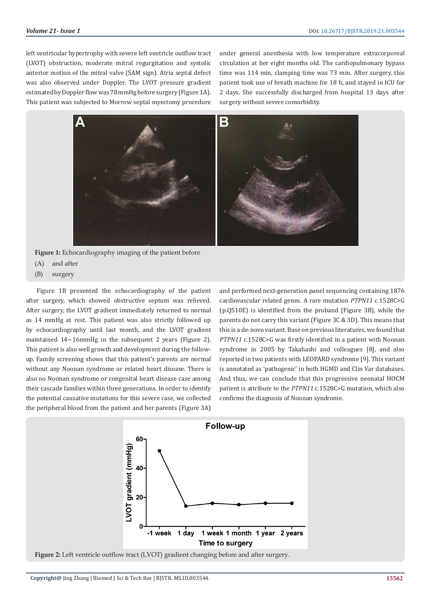left ventricular hypertrophy with severe left ventricle outflow tract (LVOT) obstruction, moderate mitral regurgitation and systolic anterior motion of the mitral valve (SAM sign). Atria septal defect was also observed under Doppler. The LVOT pressure gradient estimated by Doppler flow was 78 mmHg before surgery (Figure 1A). This patient was subjected to Morrow septal myectomy procedure

under general anesthesia with low temperature extracorporeal circulation at her eight months old. The cardiopulmonary bypass time was 114 min, clamping time was 73 min. After surgery, this patient took use of breath machine for 18 h, and stayed in ICU for 2 days. She successfully discharged from hospital 13 days after surgery without severe comorbidity.



**Figure 1:** Echocardiography imaging of the patient before

- (A) and after
- (B) surgery

Figure 1B presented the echocardiography of the patient after surgery, which showed obstructive septum was relieved. After surgery, the LVOT gradient immediately returned to normal as 14 mmHg at rest. This patient was also strictly followed up by echocardiography until last month, and the LVOT gradient maintained  $14 \sim 16$ mmHg in the subsequent 2 years (Figure 2). This patient is also well growth and development during the followup. Family screening shows that this patient's parents are normal without any Noonan syndrome or related heart disease. There is also no Noonan syndrome or congenital heart disease case among their cascade families within three generations. In order to identify the potential causative mutations for this severe case, we collected the peripheral blood from the patient and her parents (Figure 3A)

and performed next-generation panel sequencing containing 1876 cardiovascular related genes. A rare mutation *PTPN11* c.1528C>G (p.Q510E) is identified from the proband (Figure 3B), while the parents do not carry this variant (Figure 3C & 3D). This means that this is a de-novo variant. Base on previous literatures, we found that *PTPN11* c.1528C>G was firstly identified in a patient with Noonan syndrome in 2005 by Takahashi and colleagues [8], and also reported in two patients with LEOPARD syndrome [9]. This variant is annotated as 'pathogenic' in both HGMD and Clin Var databases. And thus, we can conclude that this progressive neonatal HOCM patient is attribute to the *PTPN11* c.1528C>G mutation, which also confirms the diagnosis of Noonan syndrome.



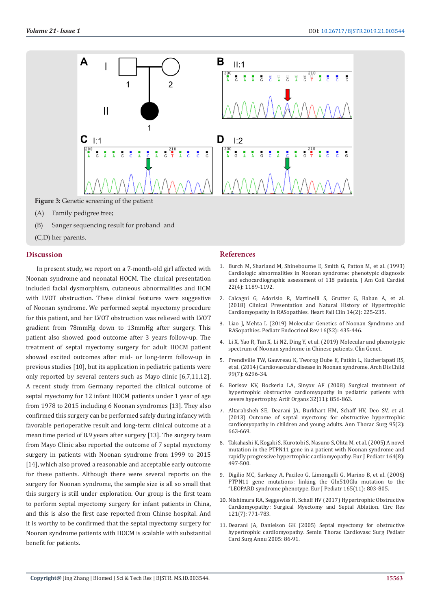

**Figure 3:** Genetic screening of the patient

- (A) Family pedigree tree;
- (B) Sanger sequencing result for proband and
- (C,D) her parents.

### **Discussion**

In present study, we report on a 7-month-old girl affected with Noonan syndrome and neonatal HOCM. The clinical presentation included facial dysmorphism, cutaneous abnormalities and HCM with LVOT obstruction. These clinical features were suggestive of Noonan syndrome. We performed septal myectomy procedure for this patient, and her LVOT obstruction was relieved with LVOT gradient from 78mmHg down to 13mmHg after surgery. This patient also showed good outcome after 3 years follow-up. The treatment of septal myectomy surgery for adult HOCM patient showed excited outcomes after mid- or long-term follow-up in previous studies [10], but its application in pediatric patients were only reported by several centers such as Mayo clinic [6,7,11,12]. A recent study from Germany reported the clinical outcome of septal myectomy for 12 infant HOCM patients under 1 year of age from 1978 to 2015 including 6 Noonan syndromes [13]. They also confirmed this surgery can be performed safely during infancy with favorable perioperative result and long-term clinical outcome at a mean time period of 8.9 years after surgery [13]. The surgery team from Mayo Clinic also reported the outcome of 7 septal myectomy surgery in patients with Noonan syndrome from 1999 to 2015 [14], which also proved a reasonable and acceptable early outcome for these patients. Although there were several reports on the surgery for Noonan syndrome, the sample size is all so small that this surgery is still under exploration. Our group is the first team to perform septal myectomy surgery for infant patients in China, and this is also the first case reported from Chinse hospital. And it is worthy to be confirmed that the septal myectomy surgery for Noonan syndrome patients with HOCM is scalable with substantial benefit for patients.

#### **References**

- 1. [Burch M, Sharland M, Shinebourne E, Smith G, Patton M, et al. \(1993\)](https://www.ncbi.nlm.nih.gov/pubmed/8409059) [Cardiologic abnormalities in Noonan syndrome: phenotypic diagnosis](https://www.ncbi.nlm.nih.gov/pubmed/8409059) [and echocardiographic assessment of 118 patients. J Am Coll Cardiol](https://www.ncbi.nlm.nih.gov/pubmed/8409059) [22\(4\): 1189-1192.](https://www.ncbi.nlm.nih.gov/pubmed/8409059)
- 2. [Calcagni G, Adorisio R, Martinelli S, Grutter G, Baban A, et al.](https://www.ncbi.nlm.nih.gov/pubmed/29525650) [\(2018\) Clinical Presentation and Natural History of Hypertrophic](https://www.ncbi.nlm.nih.gov/pubmed/29525650) [Cardiomyopathy in RASopathies. Heart Fail Clin 14\(2\): 225-235.](https://www.ncbi.nlm.nih.gov/pubmed/29525650)
- 3. [Liao J, Mehta L \(2019\) Molecular Genetics of Noonan Syndrome and](https://www.ncbi.nlm.nih.gov/pubmed/31115195) [RASopathies. Pediatr Endocrinol Rev 16\(S2\): 435-446.](https://www.ncbi.nlm.nih.gov/pubmed/31115195)
- 4. [Li X, Yao R, Tan X, Li N2, Ding Y, et al. \(2019\) Molecular and phenotypic](https://www.ncbi.nlm.nih.gov/pubmed/31219622) [spectrum of Noonan syndrome in Chinese patients. Clin Genet.](https://www.ncbi.nlm.nih.gov/pubmed/31219622)
- 5. [Prendiville TW, Gauvreau K, Tworog Dube E, Patkin L, Kucherlapati RS,](https://www.ncbi.nlm.nih.gov/pubmed/24534818) [et al. \(2014\) Cardiovascular disease in Noonan syndrome. Arch Dis Child](https://www.ncbi.nlm.nih.gov/pubmed/24534818) [99\(7\): 6296-34.](https://www.ncbi.nlm.nih.gov/pubmed/24534818)
- 6. [Borisov KV, Bockeria LA, Sinyov AF \(2008\) Surgical treatment of](https://www.ncbi.nlm.nih.gov/pubmed/18959678) [hypertrophic obstructive cardiomyopathy in pediatric patients with](https://www.ncbi.nlm.nih.gov/pubmed/18959678) [severe hypertrophy. Artif Organs 32\(11\): 856-863.](https://www.ncbi.nlm.nih.gov/pubmed/18959678)
- 7. [Altarabsheh SE, Dearani JA, Burkhart HM, Schaff HV, Deo SV, et al.](https://www.ncbi.nlm.nih.gov/pubmed/23040828) [\(2013\) Outcome of septal myectomy for obstructive hypertrophic](https://www.ncbi.nlm.nih.gov/pubmed/23040828) [cardiomyopathy in children and young adults. Ann Thorac Surg 95\(2\):](https://www.ncbi.nlm.nih.gov/pubmed/23040828) [663-669.](https://www.ncbi.nlm.nih.gov/pubmed/23040828)
- 8. Takahashi K, Kogaki S, Kurotobi S, [Nasuno S, Ohta M, et al. \(2005\) A novel](https://www.ncbi.nlm.nih.gov/pubmed/15889278) [mutation in the PTPN11 gene in a patient with Noonan syndrome and](https://www.ncbi.nlm.nih.gov/pubmed/15889278) [rapidly progressive hypertrophic cardiomyopathy. Eur J Pediatr 164\(8\):](https://www.ncbi.nlm.nih.gov/pubmed/15889278) [497-500.](https://www.ncbi.nlm.nih.gov/pubmed/15889278)
- 9. [Digilio MC, Sarkozy A, Pacileo G, Limongelli G, Marino B, et al. \(2006\)](https://www.ncbi.nlm.nih.gov/pubmed/16733669) [PTPN11 gene mutations: linking the Gln510Glu mutation to the](https://www.ncbi.nlm.nih.gov/pubmed/16733669) ["LEOPARD syndrome phenotype. Eur J Pediatr 165\(11\): 803-805.](https://www.ncbi.nlm.nih.gov/pubmed/16733669)
- 10. [Nishimura RA, Seggewiss H, Schaff HV \(2017\) Hypertrophic Obstructive](https://www.ncbi.nlm.nih.gov/pubmed/28912182) [Cardiomyopathy: Surgical Myectomy and Septal Ablation. Circ Res](https://www.ncbi.nlm.nih.gov/pubmed/28912182) [121\(7\): 771-783.](https://www.ncbi.nlm.nih.gov/pubmed/28912182)
- 11. [Dearani JA, Danielson GK \(2005\) Septal myectomy for obstructive](https://www.ncbi.nlm.nih.gov/pubmed/15818363) [hypertrophic cardiomyopathy. Semin Thorac Cardiovasc Surg Pediatr](https://www.ncbi.nlm.nih.gov/pubmed/15818363) [Card Surg Annu 2005: 86-91.](https://www.ncbi.nlm.nih.gov/pubmed/15818363)